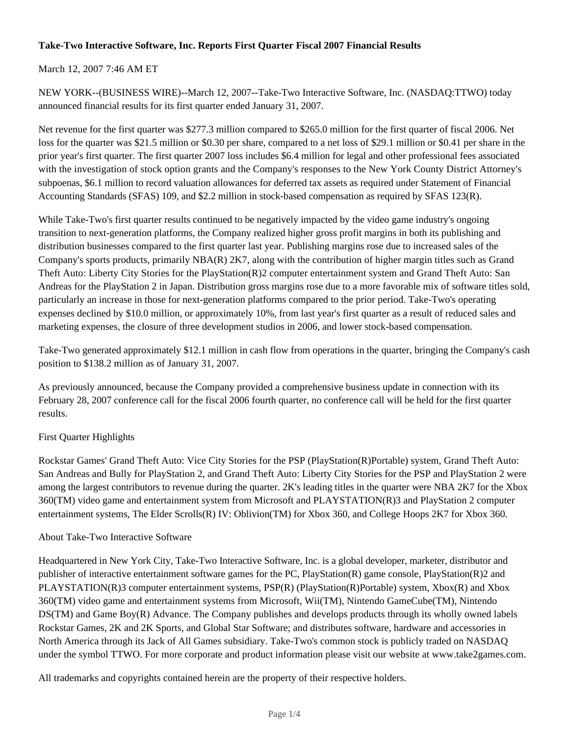## **Take-Two Interactive Software, Inc. Reports First Quarter Fiscal 2007 Financial Results**

## March 12, 2007 7:46 AM ET

NEW YORK--(BUSINESS WIRE)--March 12, 2007--Take-Two Interactive Software, Inc. (NASDAQ:TTWO) today announced financial results for its first quarter ended January 31, 2007.

Net revenue for the first quarter was \$277.3 million compared to \$265.0 million for the first quarter of fiscal 2006. Net loss for the quarter was \$21.5 million or \$0.30 per share, compared to a net loss of \$29.1 million or \$0.41 per share in the prior year's first quarter. The first quarter 2007 loss includes \$6.4 million for legal and other professional fees associated with the investigation of stock option grants and the Company's responses to the New York County District Attorney's subpoenas, \$6.1 million to record valuation allowances for deferred tax assets as required under Statement of Financial Accounting Standards (SFAS) 109, and \$2.2 million in stock-based compensation as required by SFAS 123(R).

While Take-Two's first quarter results continued to be negatively impacted by the video game industry's ongoing transition to next-generation platforms, the Company realized higher gross profit margins in both its publishing and distribution businesses compared to the first quarter last year. Publishing margins rose due to increased sales of the Company's sports products, primarily NBA(R) 2K7, along with the contribution of higher margin titles such as Grand Theft Auto: Liberty City Stories for the PlayStation(R)2 computer entertainment system and Grand Theft Auto: San Andreas for the PlayStation 2 in Japan. Distribution gross margins rose due to a more favorable mix of software titles sold, particularly an increase in those for next-generation platforms compared to the prior period. Take-Two's operating expenses declined by \$10.0 million, or approximately 10%, from last year's first quarter as a result of reduced sales and marketing expenses, the closure of three development studios in 2006, and lower stock-based compensation.

Take-Two generated approximately \$12.1 million in cash flow from operations in the quarter, bringing the Company's cash position to \$138.2 million as of January 31, 2007.

As previously announced, because the Company provided a comprehensive business update in connection with its February 28, 2007 conference call for the fiscal 2006 fourth quarter, no conference call will be held for the first quarter results.

## First Quarter Highlights

Rockstar Games' Grand Theft Auto: Vice City Stories for the PSP (PlayStation(R)Portable) system, Grand Theft Auto: San Andreas and Bully for PlayStation 2, and Grand Theft Auto: Liberty City Stories for the PSP and PlayStation 2 were among the largest contributors to revenue during the quarter. 2K's leading titles in the quarter were NBA 2K7 for the Xbox 360(TM) video game and entertainment system from Microsoft and PLAYSTATION(R)3 and PlayStation 2 computer entertainment systems, The Elder Scrolls(R) IV: Oblivion(TM) for Xbox 360, and College Hoops 2K7 for Xbox 360.

## About Take-Two Interactive Software

Headquartered in New York City, Take-Two Interactive Software, Inc. is a global developer, marketer, distributor and publisher of interactive entertainment software games for the PC, PlayStation(R) game console, PlayStation(R)2 and PLAYSTATION(R)3 computer entertainment systems, PSP(R) (PlayStation(R)Portable) system, Xbox(R) and Xbox 360(TM) video game and entertainment systems from Microsoft, Wii(TM), Nintendo GameCube(TM), Nintendo DS(TM) and Game Boy(R) Advance. The Company publishes and develops products through its wholly owned labels Rockstar Games, 2K and 2K Sports, and Global Star Software; and distributes software, hardware and accessories in North America through its Jack of All Games subsidiary. Take-Two's common stock is publicly traded on NASDAQ under the symbol TTWO. For more corporate and product information please visit our website at www.take2games.com.

All trademarks and copyrights contained herein are the property of their respective holders.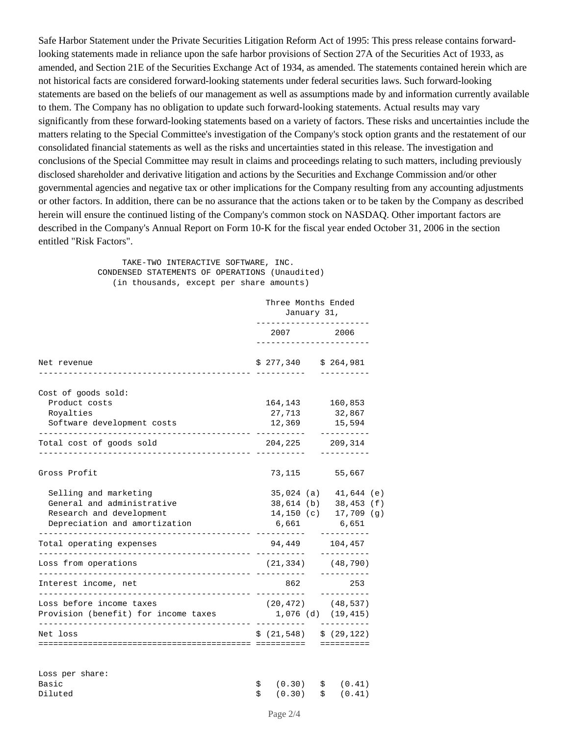Safe Harbor Statement under the Private Securities Litigation Reform Act of 1995: This press release contains forwardlooking statements made in reliance upon the safe harbor provisions of Section 27A of the Securities Act of 1933, as amended, and Section 21E of the Securities Exchange Act of 1934, as amended. The statements contained herein which are not historical facts are considered forward-looking statements under federal securities laws. Such forward-looking statements are based on the beliefs of our management as well as assumptions made by and information currently available to them. The Company has no obligation to update such forward-looking statements. Actual results may vary significantly from these forward-looking statements based on a variety of factors. These risks and uncertainties include the matters relating to the Special Committee's investigation of the Company's stock option grants and the restatement of our consolidated financial statements as well as the risks and uncertainties stated in this release. The investigation and conclusions of the Special Committee may result in claims and proceedings relating to such matters, including previously disclosed shareholder and derivative litigation and actions by the Securities and Exchange Commission and/or other governmental agencies and negative tax or other implications for the Company resulting from any accounting adjustments or other factors. In addition, there can be no assurance that the actions taken or to be taken by the Company as described herein will ensure the continued listing of the Company's common stock on NASDAQ. Other important factors are described in the Company's Annual Report on Form 10-K for the fiscal year ended October 31, 2006 in the section entitled "Risk Factors".

> TAKE-TWO INTERACTIVE SOFTWARE, INC. CONDENSED STATEMENTS OF OPERATIONS (Unaudited) (in thousands, except per share amounts)

|                                                          | Three Months Ended<br>January 31,      |                             |  |
|----------------------------------------------------------|----------------------------------------|-----------------------------|--|
|                                                          |                                        | 2007 2006                   |  |
| Net revenue                                              | $$277,340 \qquad $264,981$             |                             |  |
| Cost of goods sold:                                      |                                        |                             |  |
| Product costs                                            |                                        | 164, 143 160, 853           |  |
| Royalties                                                |                                        | 27,713 32,867               |  |
| Software development costs                               | . <u>.</u>                             | 12,369 15,594<br>---------- |  |
| Total cost of goods sold                                 | 204,225 209,314<br>$- - - - - - - - -$ | ----------                  |  |
| Gross Profit                                             | 73,115                                 | 55,667                      |  |
| Selling and marketing                                    |                                        | $35,024$ (a) $41,644$ (e)   |  |
| General and administrative                               |                                        | 38,614 (b) 38,453 (f)       |  |
| Research and development                                 |                                        | $14,150$ (c) $17,709$ (g)   |  |
| Depreciation and amortization                            | 6,661                                  | 6,651                       |  |
| Total operating expenses                                 | 94,449                                 | 104,457                     |  |
| Loss from operations                                     | (21, 334)                              | (48, 790)                   |  |
| Interest income, net<br>________________________________ | 862                                    | 253<br>----------           |  |
| Loss before income taxes                                 |                                        | $(20, 472)$ $(48, 537)$     |  |
| Provision (benefit) for income taxes                     |                                        | 1,076 (d) (19,415)          |  |
| Net loss                                                 | \$ (21, 548) \$ \$ (29, 122) \$        |                             |  |
|                                                          |                                        | ==========                  |  |
|                                                          |                                        |                             |  |

| Loss per share: |                           |  |
|-----------------|---------------------------|--|
| Basic           | $\sin(0.30)$ $\sin(0.41)$ |  |
| Diluted         | $\sin(0.30)$ $\sin(0.41)$ |  |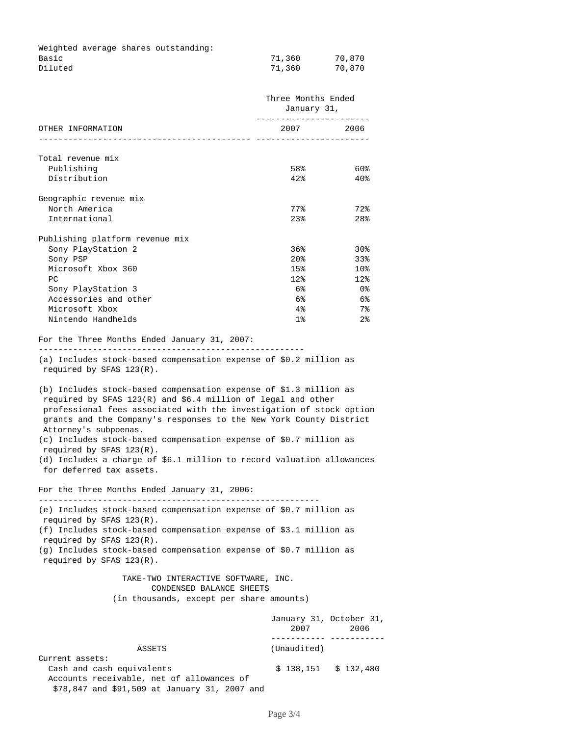|         |  | Weighted average shares outstanding: |        |        |
|---------|--|--------------------------------------|--------|--------|
| Basic   |  |                                      | 71,360 | 70,870 |
| Diluted |  |                                      | 71,360 | 70,870 |

|                                                                                                                                                                                                                                                                                                              |                                                                                                                                                                                                                                                                                    | Three Months Ended<br>January 31, |  |  |
|--------------------------------------------------------------------------------------------------------------------------------------------------------------------------------------------------------------------------------------------------------------------------------------------------------------|------------------------------------------------------------------------------------------------------------------------------------------------------------------------------------------------------------------------------------------------------------------------------------|-----------------------------------|--|--|
| OTHER INFORMATION<br>_____________________________                                                                                                                                                                                                                                                           | ----------------------<br>2007 — 2007 — 2007 — 2008 — 2007 — 2007 — 2008 — 2007 — 2008 — 2008 — 2008 — 2008 — 2008 — 2008 — 2008 — 2008 — 2008 — 2008 — 2008 — 2008 — 2008 — 2008 — 2008 — 2008 — 2008 — 2008 — 2008 — 2008 — 2008 — 2008 — 2008 — 2008 —<br>--------------------- | 2006                              |  |  |
| Total revenue mix                                                                                                                                                                                                                                                                                            |                                                                                                                                                                                                                                                                                    |                                   |  |  |
| Publishing                                                                                                                                                                                                                                                                                                   | 58%                                                                                                                                                                                                                                                                                | 60%                               |  |  |
| Distribution                                                                                                                                                                                                                                                                                                 | 42%                                                                                                                                                                                                                                                                                | 40%                               |  |  |
| Geographic revenue mix                                                                                                                                                                                                                                                                                       |                                                                                                                                                                                                                                                                                    |                                   |  |  |
| North America                                                                                                                                                                                                                                                                                                | 77%                                                                                                                                                                                                                                                                                | 72%                               |  |  |
| International                                                                                                                                                                                                                                                                                                | 23%                                                                                                                                                                                                                                                                                | 28%                               |  |  |
| Publishing platform revenue mix                                                                                                                                                                                                                                                                              |                                                                                                                                                                                                                                                                                    |                                   |  |  |
| Sony PlayStation 2                                                                                                                                                                                                                                                                                           | 36%                                                                                                                                                                                                                                                                                | 30%                               |  |  |
| Sony PSP                                                                                                                                                                                                                                                                                                     | 20%                                                                                                                                                                                                                                                                                | 33%                               |  |  |
| Microsoft Xbox 360                                                                                                                                                                                                                                                                                           | 15%                                                                                                                                                                                                                                                                                | 10 <sub>8</sub>                   |  |  |
| РC                                                                                                                                                                                                                                                                                                           | 12%                                                                                                                                                                                                                                                                                | 12%                               |  |  |
| Sony PlayStation 3                                                                                                                                                                                                                                                                                           | 6%                                                                                                                                                                                                                                                                                 | _ 0 %                             |  |  |
| Accessories and other                                                                                                                                                                                                                                                                                        | 6%                                                                                                                                                                                                                                                                                 | 6%                                |  |  |
| Microsoft Xbox                                                                                                                                                                                                                                                                                               | $4\,$                                                                                                                                                                                                                                                                              | 7%                                |  |  |
| Nintendo Handhelds                                                                                                                                                                                                                                                                                           | 1%                                                                                                                                                                                                                                                                                 | 2%                                |  |  |
| (a) Includes stock-based compensation expense of \$0.2 million as<br>required by SFAS $123(R)$ .<br>(b) Includes stock-based compensation expense of \$1.3 million as<br>required by SFAS 123(R) and \$6.4 million of legal and other<br>professional fees associated with the investigation of stock option |                                                                                                                                                                                                                                                                                    |                                   |  |  |
| grants and the Company's responses to the New York County District<br>Attorney's subpoenas.<br>(c) Includes stock-based compensation expense of \$0.7 million as                                                                                                                                             |                                                                                                                                                                                                                                                                                    |                                   |  |  |
| required by SFAS $123(R)$ .<br>(d) Includes a charge of \$6.1 million to record valuation allowances<br>for deferred tax assets.                                                                                                                                                                             |                                                                                                                                                                                                                                                                                    |                                   |  |  |
| For the Three Months Ended January 31, 2006:                                                                                                                                                                                                                                                                 |                                                                                                                                                                                                                                                                                    |                                   |  |  |
| (e) Includes stock-based compensation expense of \$0.7 million as<br>required by SFAS $123(R)$ .                                                                                                                                                                                                             |                                                                                                                                                                                                                                                                                    |                                   |  |  |
| (f) Includes stock-based compensation expense of \$3.1 million as<br>required by SFAS $123(R)$ .                                                                                                                                                                                                             |                                                                                                                                                                                                                                                                                    |                                   |  |  |
| (g) Includes stock-based compensation expense of \$0.7 million as<br>required by SFAS $123(R)$ .                                                                                                                                                                                                             |                                                                                                                                                                                                                                                                                    |                                   |  |  |
|                                                                                                                                                                                                                                                                                                              | TAKE-TWO INTERACTIVE SOFTWARE, INC.<br>CONDENSED BALANCE SHEETS                                                                                                                                                                                                                    |                                   |  |  |
|                                                                                                                                                                                                                                                                                                              | (in thousands, except per share amounts)                                                                                                                                                                                                                                           |                                   |  |  |
|                                                                                                                                                                                                                                                                                                              | January 31, October 31,<br>2007                                                                                                                                                                                                                                                    | 2006                              |  |  |
| ASSETS                                                                                                                                                                                                                                                                                                       | (Unaudited)                                                                                                                                                                                                                                                                        | ____ ___________                  |  |  |

Current assets: Cash and cash equivalents  $$ 138,151 $ 132,480$  Accounts receivable, net of allowances of \$78,847 and \$91,509 at January 31, 2007 and